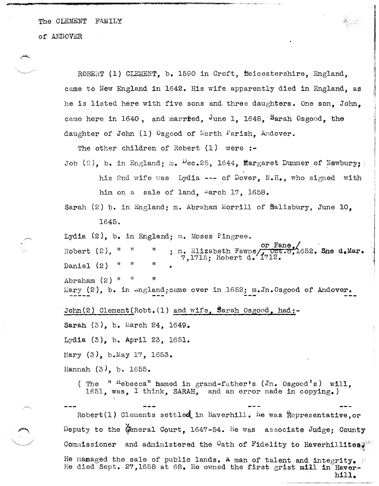The CLEMENT FAMILY

of ANDOVER

ROBERT (1) CLEMENT. b. 1590 in Croft. Heicestershire. England. came to New England in 1642. His wife apparently died in England, as he is listed here with five sons and three daughters. One son. John. came here in 1640, and married, June 1, 1648, Sarah Osgood, the daughter of John (1) Osgood of North Parish, Andover.

The other children of Robert (1) were :-

Job (2), b. in England: m.  $P_{ec.25}$ , 1644, Margaret Dummer of Newbury: his 2nd wife was Lydia --- of Dover. N.H., who signed with him on a sale of land, March 17, 1658.

Sarah (2) b. in England: m. Abraham Morrill of Balisbury. June 10. 1645.

Lydia  $(2)$ , b. in England; m. Moses Pingree.

or Fane. m. Elizabeth Fawne, oct Robert  $(2)$ . " pct.8,1652. She d.Mar. Ħ Daniel (2) Ħ Abraham  $(2)$  " Mary  $(2)$ , b. in angland; came over in 1652; m. Jn. Osgood of Andover.

John(2) Clement(Robt.(1) and wife, Sarah Osgood, had:-

Sarah (3), b. March 24, 1649.

Lydia (3), b. April 23, 1651.

Mary (3), b. May 17, 1653.

Hannah  $(3)$ , b. 1655.

(The " "ebecca" hamed in grand-father's (Jn. Osgood's) will, 1651, was, I think, SARAH, and an error made in copying.)

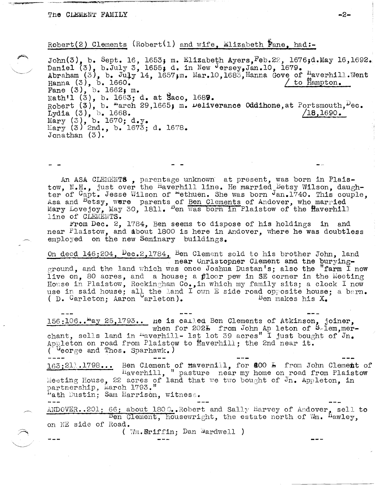$\smile$ 

Robert (2) Clements (Robert (1) and wife. Elizabeth **Fane**, had:-

John(3), b. Sept. 16, 1653; m. Elizabeth Ayers. Feb. 22, 1676;d. May 16, 1692. Daniel  $(3)$ , b.July 3, 1655; d. in New Jersey, Jan.10, 1679. Abraham (3), b. July 14, 1657;m. Mar.10,1683,Hanna Gove of Haverhill.Went Hanna (3), b. 1660. Fane  $(3)$ , b. 1662; m.  $\text{Nath1}$   $(3)$ , b. 1663; d. at Saco, 1689. Robert (3), b.  $^{\omega}$ arch 29,1665; m.  $^{\omega}$ eliverance Oddihone,at Portsmouth, $^{\omega}$ ec. Lydia (3), b. 1668. *18, 1690. 18, 1690.*  $Mary (3), b. 1670; d.y.$ Mary (3) 2nd., b. 1673; d. 1678. Jonathan (3).

An ASA CLEMENTS, parentage unknown at present, was born in Plaistow, N.H., just over the Haverhill line. He married Betsy Wilson, daughter of Capt. Jesse Wilson of "ethuen. She was born Jan. 1740. This couple, Asa and <sup>B</sup>etsy, were parents of Ben Clements of Andover, who married Mary Lovejoy, May 30, 1811. Ben was born in Plaistow of the Haverhill line of CLEMEHTS.

From Dec. 2, 1784, Ben seems to dispose of his holdings in and near Plaistow, and about 1800 is here in Andover, where he was doubtless employed on the new Seminary buildings.

On deed 146;204, Dec.2,1784, Ben Clement sold to his brother John, land near Unristopner Clement and tne buryingground, and the land which was once Joshua Dustan's; also the "farm I now live on, 80 acres, and a house; a  $p$ loor pew in SE corner in the Meeting House in Plaistow, Rockingham Co., in which my family sits; a clock I now use in said house; all the land I own E side road opposite house; a barn.<br>( D. Carleton: Aaron arleton). Ben makes his  $X_a$ ( D. Garleton; Aaron arleton).

 $156:106$ .. $\frac{\text{m}}{\text{ay }25,1793}$ .. he is called Ben Clements of Atkinson, joiner, when for 2021 from John Ap leton of Silem, merchant, sells land in  $\frac{1}{2}$ ust lot 39 acres I just bought of Jn. Appleton on road from Plaistow to  $H$ averhill; the 2nd near it. (Ueorge and Thos. Sparhawk.)

163; 211.1798... Ben Clement of Havernill, for **200 L** from John Clement of Haverhill, "pasture near my home on road from Plaistow Meeting House, 22 acres of land that we two bought of  $J_{n_{\bullet}}$  Appleton. in partnership, March 1793."

wath Dustin; Sam Harrison, witness.

 $ANDOVER. .201; 66; about 1800. Nobert and Sally Harvey of Andover, sell to$ on NE side of Road.  $E$ en Clement, housewright, the estate north of  $W_m$ . <sup>H</sup>awley, (  $\mathbb{W}\mathfrak{m}$ . Eriffin: Dan Wardwell )

**-2-**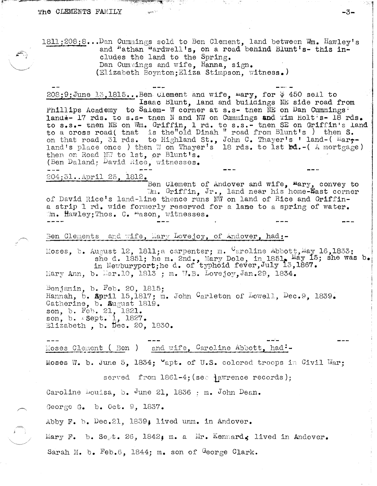## The CLEMENTS FAMILY

 $1811$ ;208;8...Dan Cummings sold to Ben Clement, land between Wm. Hawley's and "athan "ardwell's, on a road behind Blunt's- this includes the land to the Spring. Dan Cummings and wife, Hanna, sign. (Elizabeth Boynton: Eliza Stimpson, witness.)

208;9;June 13,1815...Ben Clement and wife, mary, for \$450 sell to Isaac Blunt, land and buildings NE side road from Phillips Academy to Salem- W corner at s.s- then NE on Dan Cummings<sup>:</sup> land+- 17 rds. to s.s- then N and NW on Cummings and Tim Holt's- 18 rds. to s.s.- then NE on Wm. Griffin, 1 rd. to s.s.- then SE on Griffin's land to a cross road (that is the old Dinah "road from Blunt's) then S.<br>on that road, 31 rds. to Highland St., John C. Thayer's 'land-( Mar,-<br>land's place once ) then W on Thayer's 18 rds. to 1st bd.-( A mortgage) then on Road NW to 1st, or Blunt's. (Ben Daland; David Rice, witnesses.

204:31..April 25. 1812.

Ben Clement of Andover and wife, Mary, convey to Wm. Griffin, Jr., land near his home-Wast corner of David Rice's land-line thence runs NW on land of Rice and Griffina strip 1 rd. wide formerly reserved for a lane to a spring of water. M. Hawley; Thos. C. "ason, witnesses.

Ben Clements and wife, Mary Lovejoy, of Andover, had:-

Moses, b. August 12, 1811; a carpenter; m.  $G_{\text{c}}$  aroline Abbott, May 16, 1833; she d. 1951; he m. 2nd., Mary Dole, in 1851, May 15; she was b. in Newburyport; he d. of typhoid fever, July 13,1867. Mary Ann, b. Mar.10, 1813 ; m. W.B. Lovejoy, Jan.29, 1834.

Benjamin, b. Feb. 20, 1815; Hannah, b. April 15,1817; m. John Carleton of Lowell, Dec.9, 1839. Catherine, b. Sugust 1819. son, b. Feb. 21, 1821.<br>son, b. Esept. 1, 1827. Elizabeth, b. Dec. 20, 1830.

and wife, Caroline Abbott, had:-Moses Clement ( Ben )

Moses W. b. June 5. 1834:  $\text{Vapt. of } U.S.$  colored troops in Civil War:

served from  $1861-4$ ; (see ) awrence records);

Caroline Louisa, b. June 21, 1836 : m. John Dean.

George G. b. Oct.  $9, 1837.$ 

Abby F. b. Dec.21, 1839, lived unm. in Andover.

Mary F. b. Se<sub>rt</sub>. 26, 1842; m. a Mr. Kennard. lived in Andover.

Sarah M. b. Feb.6, 1844; m. son of George Clark.

-3-